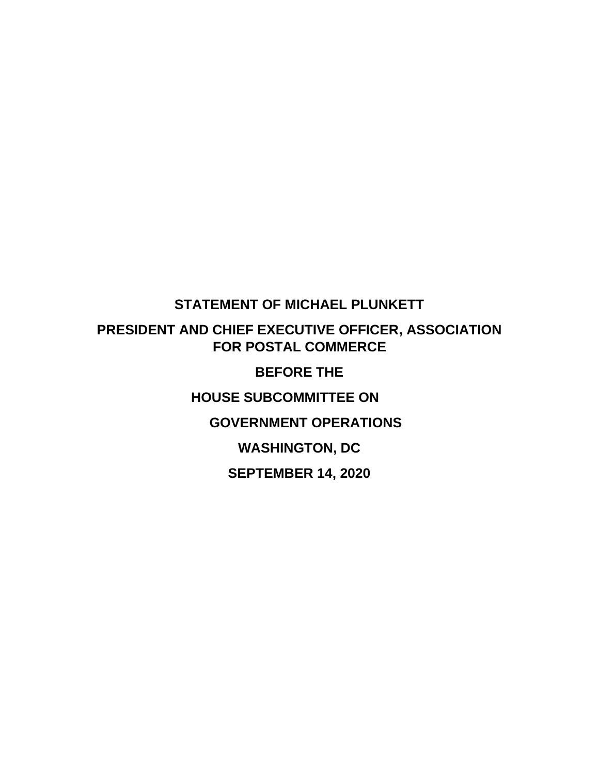## **STATEMENT OF MICHAEL PLUNKETT**

# **PRESIDENT AND CHIEF EXECUTIVE OFFICER, ASSOCIATION FOR POSTAL COMMERCE**

## **BEFORE THE**

**HOUSE SUBCOMMITTEE ON**

## **GOVERNMENT OPERATIONS**

**WASHINGTON, DC**

**SEPTEMBER 14, 2020**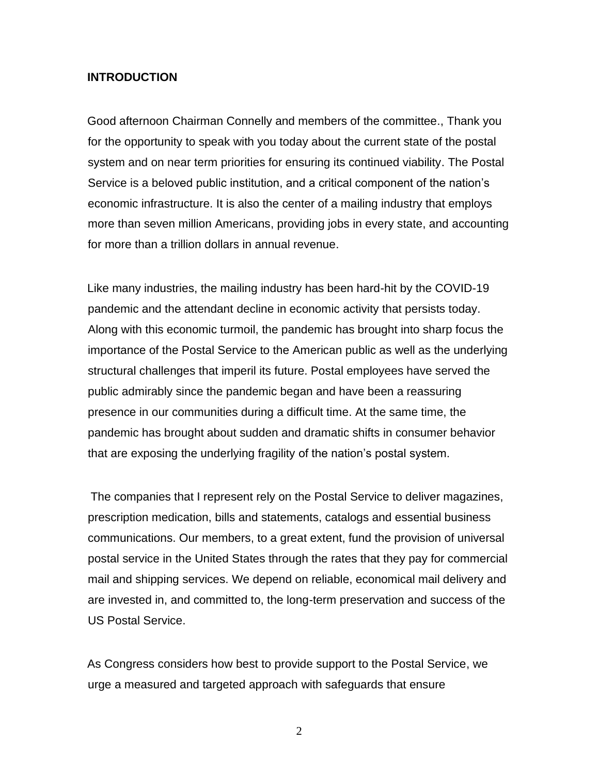#### **INTRODUCTION**

Good afternoon Chairman Connelly and members of the committee., Thank you for the opportunity to speak with you today about the current state of the postal system and on near term priorities for ensuring its continued viability. The Postal Service is a beloved public institution, and a critical component of the nation's economic infrastructure. It is also the center of a mailing industry that employs more than seven million Americans, providing jobs in every state, and accounting for more than a trillion dollars in annual revenue.

Like many industries, the mailing industry has been hard-hit by the COVID-19 pandemic and the attendant decline in economic activity that persists today. Along with this economic turmoil, the pandemic has brought into sharp focus the importance of the Postal Service to the American public as well as the underlying structural challenges that imperil its future. Postal employees have served the public admirably since the pandemic began and have been a reassuring presence in our communities during a difficult time. At the same time, the pandemic has brought about sudden and dramatic shifts in consumer behavior that are exposing the underlying fragility of the nation's postal system.

The companies that I represent rely on the Postal Service to deliver magazines, prescription medication, bills and statements, catalogs and essential business communications. Our members, to a great extent, fund the provision of universal postal service in the United States through the rates that they pay for commercial mail and shipping services. We depend on reliable, economical mail delivery and are invested in, and committed to, the long-term preservation and success of the US Postal Service.

As Congress considers how best to provide support to the Postal Service, we urge a measured and targeted approach with safeguards that ensure

2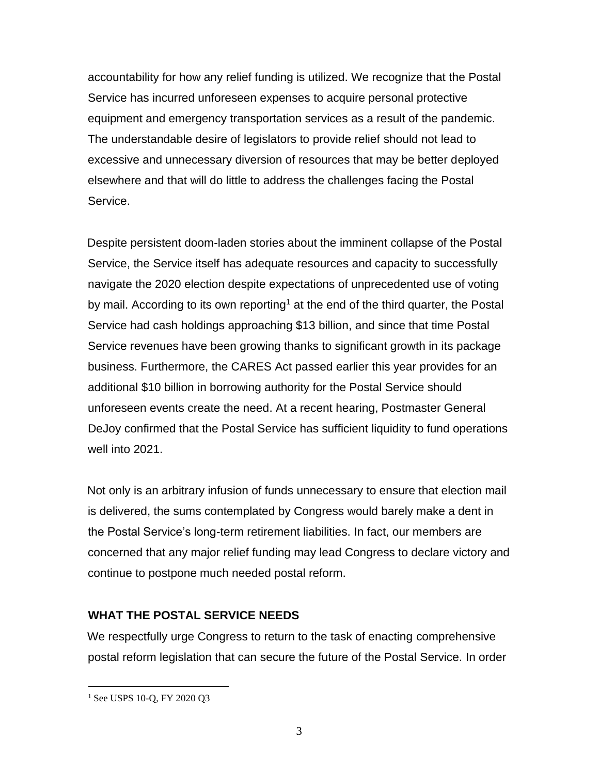accountability for how any relief funding is utilized. We recognize that the Postal Service has incurred unforeseen expenses to acquire personal protective equipment and emergency transportation services as a result of the pandemic. The understandable desire of legislators to provide relief should not lead to excessive and unnecessary diversion of resources that may be better deployed elsewhere and that will do little to address the challenges facing the Postal Service.

Despite persistent doom-laden stories about the imminent collapse of the Postal Service, the Service itself has adequate resources and capacity to successfully navigate the 2020 election despite expectations of unprecedented use of voting by mail. According to its own reporting<sup>1</sup> at the end of the third quarter, the Postal Service had cash holdings approaching \$13 billion, and since that time Postal Service revenues have been growing thanks to significant growth in its package business. Furthermore, the CARES Act passed earlier this year provides for an additional \$10 billion in borrowing authority for the Postal Service should unforeseen events create the need. At a recent hearing, Postmaster General DeJoy confirmed that the Postal Service has sufficient liquidity to fund operations well into 2021.

Not only is an arbitrary infusion of funds unnecessary to ensure that election mail is delivered, the sums contemplated by Congress would barely make a dent in the Postal Service's long-term retirement liabilities. In fact, our members are concerned that any major relief funding may lead Congress to declare victory and continue to postpone much needed postal reform.

#### **WHAT THE POSTAL SERVICE NEEDS**

We respectfully urge Congress to return to the task of enacting comprehensive postal reform legislation that can secure the future of the Postal Service. In order

<sup>&</sup>lt;sup>1</sup> See USPS 10-Q, FY 2020 Q3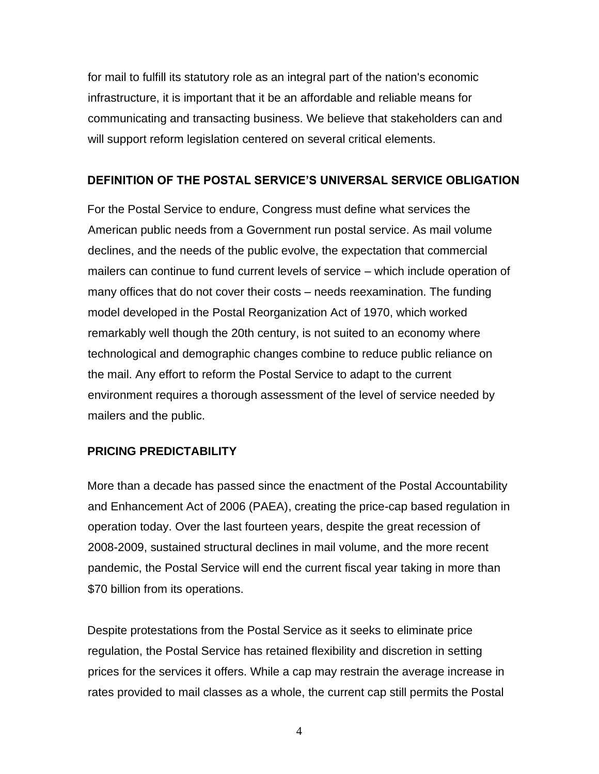for mail to fulfill its statutory role as an integral part of the nation's economic infrastructure, it is important that it be an affordable and reliable means for communicating and transacting business. We believe that stakeholders can and will support reform legislation centered on several critical elements.

#### **DEFINITION OF THE POSTAL SERVICE'S UNIVERSAL SERVICE OBLIGATION**

For the Postal Service to endure, Congress must define what services the American public needs from a Government run postal service. As mail volume declines, and the needs of the public evolve, the expectation that commercial mailers can continue to fund current levels of service – which include operation of many offices that do not cover their costs – needs reexamination. The funding model developed in the Postal Reorganization Act of 1970, which worked remarkably well though the 20th century, is not suited to an economy where technological and demographic changes combine to reduce public reliance on the mail. Any effort to reform the Postal Service to adapt to the current environment requires a thorough assessment of the level of service needed by mailers and the public.

### **PRICING PREDICTABILITY**

More than a decade has passed since the enactment of the Postal Accountability and Enhancement Act of 2006 (PAEA), creating the price-cap based regulation in operation today. Over the last fourteen years, despite the great recession of 2008-2009, sustained structural declines in mail volume, and the more recent pandemic, the Postal Service will end the current fiscal year taking in more than \$70 billion from its operations.

Despite protestations from the Postal Service as it seeks to eliminate price regulation, the Postal Service has retained flexibility and discretion in setting prices for the services it offers. While a cap may restrain the average increase in rates provided to mail classes as a whole, the current cap still permits the Postal

4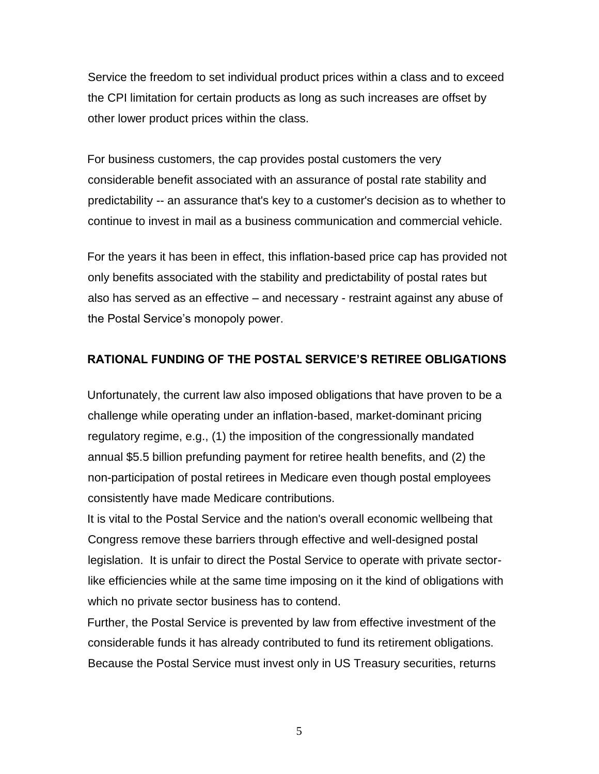Service the freedom to set individual product prices within a class and to exceed the CPI limitation for certain products as long as such increases are offset by other lower product prices within the class.

For business customers, the cap provides postal customers the very considerable benefit associated with an assurance of postal rate stability and predictability -- an assurance that's key to a customer's decision as to whether to continue to invest in mail as a business communication and commercial vehicle.

For the years it has been in effect, this inflation-based price cap has provided not only benefits associated with the stability and predictability of postal rates but also has served as an effective – and necessary - restraint against any abuse of the Postal Service's monopoly power.

#### **RATIONAL FUNDING OF THE POSTAL SERVICE'S RETIREE OBLIGATIONS**

Unfortunately, the current law also imposed obligations that have proven to be a challenge while operating under an inflation-based, market-dominant pricing regulatory regime, e.g., (1) the imposition of the congressionally mandated annual \$5.5 billion prefunding payment for retiree health benefits, and (2) the non-participation of postal retirees in Medicare even though postal employees consistently have made Medicare contributions.

It is vital to the Postal Service and the nation's overall economic wellbeing that Congress remove these barriers through effective and well-designed postal legislation. It is unfair to direct the Postal Service to operate with private sectorlike efficiencies while at the same time imposing on it the kind of obligations with which no private sector business has to contend.

Further, the Postal Service is prevented by law from effective investment of the considerable funds it has already contributed to fund its retirement obligations. Because the Postal Service must invest only in US Treasury securities, returns

5